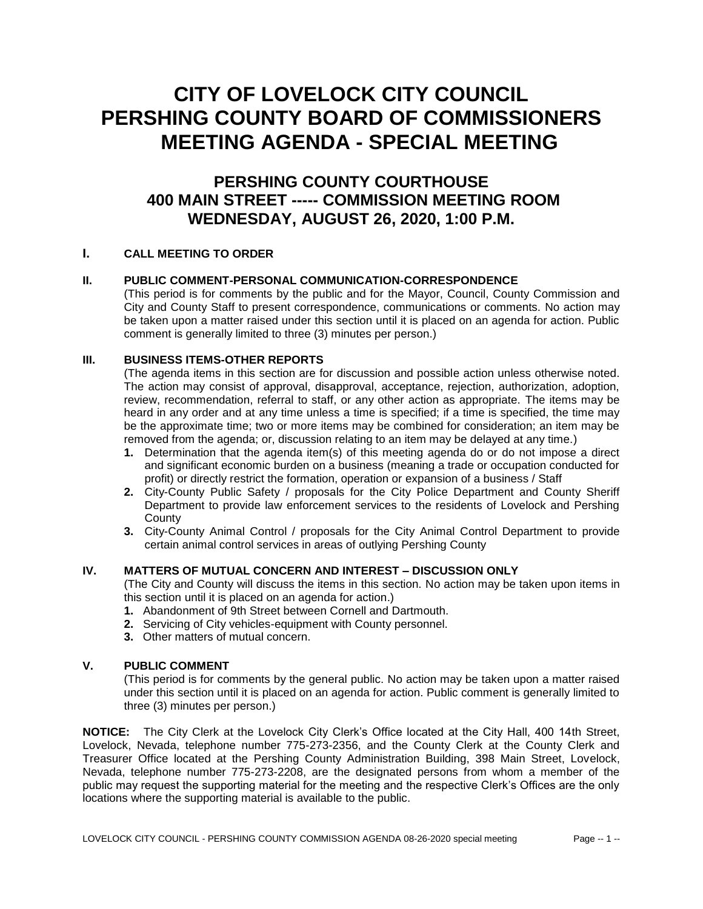# **CITY OF LOVELOCK CITY COUNCIL PERSHING COUNTY BOARD OF COMMISSIONERS MEETING AGENDA - SPECIAL MEETING**

# **PERSHING COUNTY COURTHOUSE 400 MAIN STREET ----- COMMISSION MEETING ROOM WEDNESDAY, AUGUST 26, 2020, 1:00 P.M.**

## **I. CALL MEETING TO ORDER**

#### **II. PUBLIC COMMENT-PERSONAL COMMUNICATION-CORRESPONDENCE**

(This period is for comments by the public and for the Mayor, Council, County Commission and City and County Staff to present correspondence, communications or comments. No action may be taken upon a matter raised under this section until it is placed on an agenda for action. Public comment is generally limited to three (3) minutes per person.)

#### **III. BUSINESS ITEMS-OTHER REPORTS**

(The agenda items in this section are for discussion and possible action unless otherwise noted. The action may consist of approval, disapproval, acceptance, rejection, authorization, adoption, review, recommendation, referral to staff, or any other action as appropriate. The items may be heard in any order and at any time unless a time is specified; if a time is specified, the time may be the approximate time; two or more items may be combined for consideration; an item may be removed from the agenda; or, discussion relating to an item may be delayed at any time.)

- **1.** Determination that the agenda item(s) of this meeting agenda do or do not impose a direct and significant economic burden on a business (meaning a trade or occupation conducted for profit) or directly restrict the formation, operation or expansion of a business / Staff
- **2.** City-County Public Safety / proposals for the City Police Department and County Sheriff Department to provide law enforcement services to the residents of Lovelock and Pershing **County**
- **3.** City-County Animal Control / proposals for the City Animal Control Department to provide certain animal control services in areas of outlying Pershing County

## **IV. MATTERS OF MUTUAL CONCERN AND INTEREST – DISCUSSION ONLY**

(The City and County will discuss the items in this section. No action may be taken upon items in this section until it is placed on an agenda for action.)

- **1.** Abandonment of 9th Street between Cornell and Dartmouth.
- **2.** Servicing of City vehicles-equipment with County personnel.
- **3.** Other matters of mutual concern.

#### **V. PUBLIC COMMENT**

(This period is for comments by the general public. No action may be taken upon a matter raised under this section until it is placed on an agenda for action. Public comment is generally limited to three (3) minutes per person.)

**NOTICE:** The City Clerk at the Lovelock City Clerk's Office located at the City Hall, 400 14th Street, Lovelock, Nevada, telephone number 775-273-2356, and the County Clerk at the County Clerk and Treasurer Office located at the Pershing County Administration Building, 398 Main Street, Lovelock, Nevada, telephone number 775-273-2208, are the designated persons from whom a member of the public may request the supporting material for the meeting and the respective Clerk's Offices are the only locations where the supporting material is available to the public.